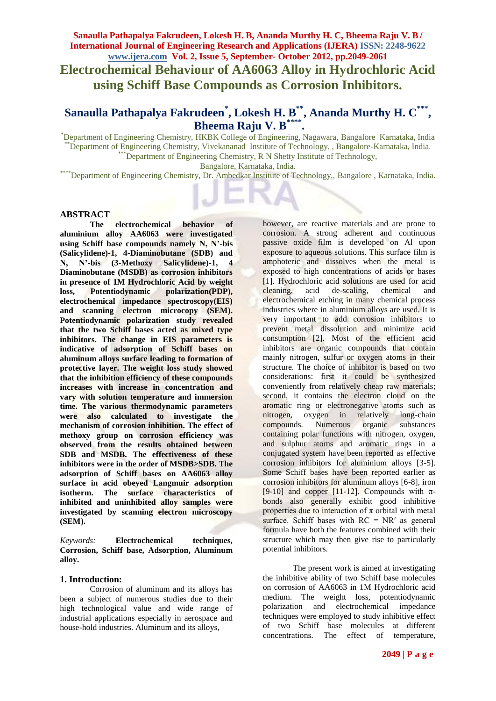**Electrochemical Behaviour of AA6063 Alloy in Hydrochloric Acid using Schiff Base Compounds as Corrosion Inhibitors.**

#### **Sanaulla Pathapalya Fakrudeen\* , Lokesh H. B\*\*, Ananda Murthy H. C\*\*\* , Bheema Raju V. B\*\*\*\* .**

\*Department of Engineering Chemistry, HKBK College of Engineering, Nagawara, Bangalore Karnataka, India \*\*Department of Engineering Chemistry, Vivekananad Institute of Technology, , Bangalore-Karnataka, India.  $*$ Department of Engineering Chemistry, R N Shetty Institute of Technology,

Bangalore, Karnataka, India.

\*Department of Engineering Chemistry, Dr. Ambedkar Institute of Technology,, Bangalore , Karnataka, India.

## **ABSTRACT**

**The electrochemical behavior of aluminium alloy AA6063 were investigated using Schiff base compounds namely N, N'-bis (Salicylidene)-1, 4-Diaminobutane (SDB) and N, N'-bis (3-Methoxy Salicylidene)-1, 4 Diaminobutane (MSDB) as corrosion inhibitors in presence of 1M Hydrochloric Acid by weight loss, Potentiodynamic polarization(PDP), electrochemical impedance spectroscopy(EIS) and scanning electron microcopy (SEM). Potentiodynamic polarization study revealed that the two Schiff bases acted as mixed type inhibitors. The change in EIS parameters is indicative of adsorption of Schiff bases on aluminum alloys surface leading to formation of protective layer. The weight loss study showed that the inhibition efficiency of these compounds increases with increase in concentration and vary with solution temperature and immersion time. The various thermodynamic parameters were also calculated to investigate the mechanism of corrosion inhibition. The effect of methoxy group on corrosion efficiency was observed from the results obtained between SDB and MSDB. The effectiveness of these inhibitors were in the order of MSDB>SDB. The adsorption of Schiff bases on AA6063 alloy surface in acid obeyed Langmuir adsorption isotherm. The surface characteristics of inhibited and uninhibited alloy samples were investigated by scanning electron microscopy (SEM).**

*Keywords:* **Electrochemical techniques, Corrosion, Schiff base, Adsorption, Aluminum alloy.**

# **1. Introduction:**

Corrosion of aluminum and its alloys has been a subject of numerous studies due to their high technological value and wide range of industrial applications especially in aerospace and house-hold industries. Aluminum and its alloys,

however, are reactive materials and are prone to corrosion. A strong adherent and continuous passive oxide film is developed on Al upon exposure to aqueous solutions. This surface film is amphoteric and dissolves when the metal is exposed to high concentrations of acids or bases [1]. Hydrochloric acid solutions are used for acid cleaning, acid de-scaling, chemical and electrochemical etching in many chemical process industries where in aluminium alloys are used. It is very important to add corrosion inhibitors to prevent metal dissolution and minimize acid consumption [2]. Most of the efficient acid inhibitors are organic compounds that contain mainly nitrogen, sulfur or oxygen atoms in their structure. The choice of inhibitor is based on two considerations: first it could be synthesized conveniently from relatively cheap raw materials; second, it contains the electron cloud on the aromatic ring or electronegative atoms such as nitrogen, oxygen in relatively long-chain compounds. Numerous organic substances containing polar functions with nitrogen, oxygen, and sulphur atoms and aromatic rings in a conjugated system have been reported as effective corrosion inhibitors for aluminium alloys [3-5]. Some Schiff bases have been reported earlier as corrosion inhibitors for aluminum alloys [6-8], iron [9-10] and copper [11-12]. Compounds with  $\pi$ bonds also generally exhibit good inhibitive properties due to interaction of  $\pi$  orbital with metal surface. Schiff bases with  $RC = NR'$  as general formula have both the features combined with their structure which may then give rise to particularly potential inhibitors.

The present work is aimed at investigating the inhibitive ability of two Schiff base molecules on corrosion of AA6063 in 1M Hydrochloric acid medium. The weight loss, potentiodynamic polarization and electrochemical impedance techniques were employed to study inhibitive effect of two Schiff base molecules at different concentrations. The effect of temperature,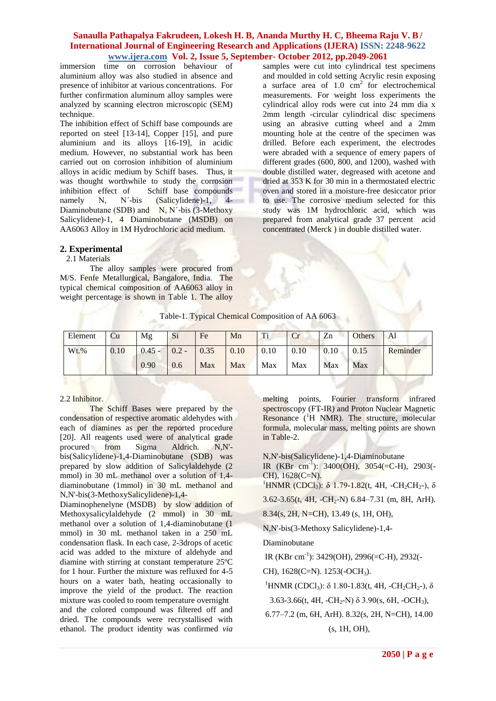immersion time on corrosion behaviour of aluminium alloy was also studied in absence and presence of inhibitor at various concentrations. For further confirmation aluminum alloy samples were analyzed by scanning electron microscopic (SEM) technique.

The inhibition effect of Schiff base compounds are reported on steel [13-14], Copper [15], and pure aluminium and its alloys [16-19], in acidic medium. However, no substantial work has been carried out on corrosion inhibition of aluminium alloys in acidic medium by Schiff bases. Thus, it was thought worthwhile to study the corrosion inhibition effect of Schiff base compounds namely N, N'-bis (Salicylidene)-1, 4-Diaminobutane (SDB) and  $N$ , N'-bis (3-Methoxy Salicylidene)-1, 4 Diaminobutane (MSDB) on AA6063 Alloy in 1M Hydrochloric acid medium.

### samples were cut into cylindrical test specimens and moulded in cold setting Acrylic resin exposing a surface area of  $1.0 \text{ cm}^2$  for electrochemical measurements. For weight loss experiments the cylindrical alloy rods were cut into 24 mm dia x 2mm length -circular cylindrical disc specimens using an abrasive cutting wheel and a 2mm mounting hole at the centre of the specimen was drilled. Before each experiment, the electrodes were abraded with a sequence of emery papers of different grades (600, 800, and 1200), washed with double distilled water, degreased with acetone and dried at 353 K for 30 min in a thermostated electric oven and stored in a moisture-free desiccator prior to use. The corrosive medium selected for this study was 1M hydrochloric acid, which was prepared from analytical grade 37 percent acid concentrated (Merck ) in double distilled water.

# **2. Experimental**

# 2.1 Materials

The alloy samples were procured from M/S. Fenfe Metallurgical, Bangalore, India. The typical chemical composition of AA6063 alloy in weight percentage is shown in Table 1. The alloy

Table-1. Typical Chemical Composition of AA 6063

| Element | Cu   | Mg       | Si      | Fe   | Mn   | Ti   | Cr   | Zn   | <b>Others</b> | Al       |
|---------|------|----------|---------|------|------|------|------|------|---------------|----------|
| $Wt.$ % | 0.10 | $0.45 -$ | $0.2 -$ | 0.35 | 0.10 | 0.10 | 0.10 | 0.10 | 0.15          | Reminder |
|         |      | 0.90     | 0.6     | Max  | Max  | Max  | Max  | Max  | Max           |          |

# 2.2 Inhibitor.

The Schiff Bases were prepared by the condensation of respective aromatic aldehydes with each of diamines as per the reported procedure [20]. All reagents used were of analytical grade procured from Sigma Aldrich. N,N' bis(Salicylidene)-1,4-Diaminobutane (SDB) was prepared by slow addition of Salicylaldehyde (2 mmol) in 30 mL methanol over a solution of 1,4 diaminobutane (1mmol) in 30 mL methanol and N,N'-bis(3-MethoxySalicylidene)-1,4-

Diaminophenelyne (MSDB) by slow addition of Methoxysalicylaldehyde (2 mmol) in 30 mL methanol over a solution of 1,4-diaminobutane (1 mmol) in 30 mL methanol taken in a 250 mL condensation flask. In each case, 2-3drops of acetic acid was added to the mixture of aldehyde and diamine with stirring at constant temperature 25ºC for 1 hour. Further the mixture was refluxed for 4-5 hours on a water bath, heating occasionally to improve the yield of the product. The reaction mixture was cooled to room temperature overnight and the colored compound was filtered off and dried. The compounds were recrystallised with ethanol. The product identity was confirmed *via*  melting points, Fourier transform infrared spectroscopy (FT-IR) and Proton Nuclear Magnetic Resonance  $({}^{1}H$  NMR). The structure, molecular formula, molecular mass, melting points are shown in Table-2.

N,N'-bis(Salicylidene)-1,4-Diaminobutane

IR (KBr cm<sup>-1</sup>): 3400(OH), 3054(=C-H), 2903(-CH), 1628(C=N).

<sup>1</sup>HNMR (CDCl<sub>3</sub>): δ 1.79-1.82(t, 4H, -CH<sub>2</sub>CH<sub>2</sub>-), δ

 $3.62 - 3.65$ (t, 4H,  $-CH_2-N$ )  $6.84 - 7.31$  (m, 8H, ArH).

8.34(s, 2H, N=CH), 13.49 (s, 1H, OH),

N,N'-bis(3-Methoxy Salicylidene)-1,4-

Diaminobutane

IR (KBr cm-1 ): 3429(OH), 2996(=C-H), 2932(-

CH),  $1628$ (C=N).  $1253$ (-OCH<sub>3</sub>).

<sup>1</sup>HNMR (CDCl<sub>3</sub>): δ 1.80-1.83(t, 4H, -CH<sub>2</sub>CH<sub>2</sub>-), δ

3.63-3.66(t, 4H, -CH<sub>2</sub>-N)  $\delta$  3.90(s, 6H, -OCH<sub>3</sub>),

6.77–7.2 (m, 6H, ArH). 8.32(s, 2H, N=CH), 14.00 (s, 1H, OH),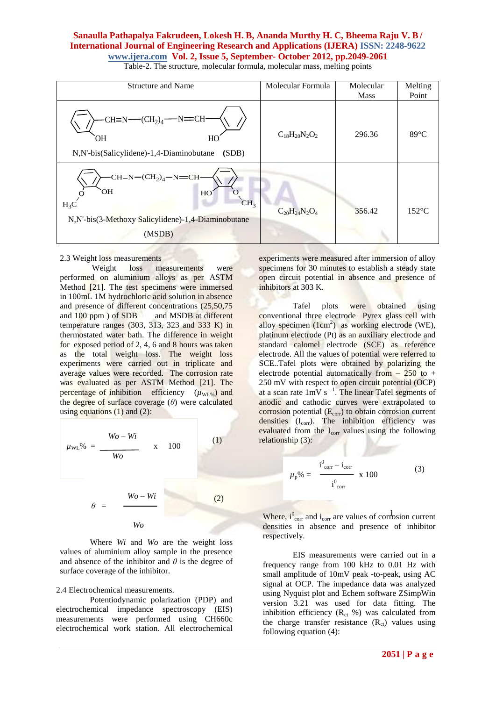Table-2. The structure, molecular formula, molecular mass, melting points

| <b>Structure and Name</b>                                                                                                                                      | Molecular Formula    | Molecular<br><b>Mass</b> | Melting<br>Point |
|----------------------------------------------------------------------------------------------------------------------------------------------------------------|----------------------|--------------------------|------------------|
| $CH=N$ $\left(\text{CH}_2\right)_4$ $\left(\text{CH}_2\right)_2$ $\left(\text{CH}_2\right)_2$<br>OН<br>HС<br>(SDB)<br>N,N'-bis(Salicylidene)-1,4-Diaminobutane | $C_{18}H_{20}N_2O_2$ | 296.36                   | $89^{\circ}$ C   |
| $-CH=N-(CH2)4-N=CH-$<br>ЮH<br>HO<br>CH <sub>3</sub><br>$H_3C$<br>N,N'-bis(3-Methoxy Salicylidene)-1,4-Diaminobutane<br>(MSDB)                                  | $C_{20}H_{24}N_2O_4$ | 356.42                   | $152^{\circ}$ C  |

#### 2.3 Weight loss measurements

Weight loss measurements were performed on aluminium alloys as per ASTM Method [21]. The test specimens were immersed in 100mL 1M hydrochloric acid solution in absence and presence of different concentrations (25,50,75 and 100 ppm ) of SDB and MSDB at different temperature ranges  $(303, 313, 323,$  and  $333K)$  in thermostated water bath. The difference in weight for exposed period of 2, 4, 6 and 8 hours was taken as the total weight loss. The weight loss experiments were carried out in triplicate and average values were recorded. The corrosion rate was evaluated as per ASTM Method [21]. The percentage of inhibition efficiency  $(\mu_{\text{WL}\%})$  and the degree of surface coverage (*θ*) were calculated using equations  $(1)$  and  $(2)$ :



Where *Wi* and *Wo* are the weight loss values of aluminium alloy sample in the presence and absence of the inhibitor and  $\theta$  is the degree of surface coverage of the inhibitor.

### 2.4 Electrochemical measurements.

Potentiodynamic polarization (PDP) and electrochemical impedance spectroscopy (EIS) measurements were performed using CH660c electrochemical work station. All electrochemical

experiments were measured after immersion of alloy specimens for 30 minutes to establish a steady state open circuit potential in absence and presence of inhibitors at 303 K.

Tafel plots were obtained using conventional three electrode Pyrex glass cell with alloy specimen  $(1cm<sup>2</sup>)$  as working electrode (WE), platinum electrode (Pt) as an auxiliary electrode and standard calomel electrode (SCE) as reference electrode. All the values of potential were referred to SCE..Tafel plots were obtained by polarizing the electrode potential automatically from  $-250$  to  $+$ 250 mV with respect to open circuit potential (OCP) at a scan rate  $1mV s^{-1}$ . The linear Tafel segments of anodic and cathodic curves were extrapolated to corrosion potential  $(E_{corr})$  to obtain corrosion current densities  $(I_{\text{corr}})$ . The inhibition efficiency was evaluated from the I<sub>corr</sub> values using the following relationship (3):

$$
\mu_{p}\% = \frac{i_{corr}^{0} - i_{corr}}{i_{corr}^{0}} \times 100
$$
 (3)

Where,  $i_{corr}^0$  and  $i_{corr}$  are values of corrosion current densities in absence and presence of inhibitor respectively.

EIS measurements were carried out in a frequency range from 100 kHz to 0.01 Hz with small amplitude of 10mV peak -to-peak, using AC signal at OCP. The impedance data was analyzed using Nyquist plot and Echem software ZSimpWin version 3.21 was used for data fitting. The inhibition efficiency ( $R_{ct}$  %) was calculated from the charge transfer resistance  $(R<sub>ct</sub>)$  values using following equation (4):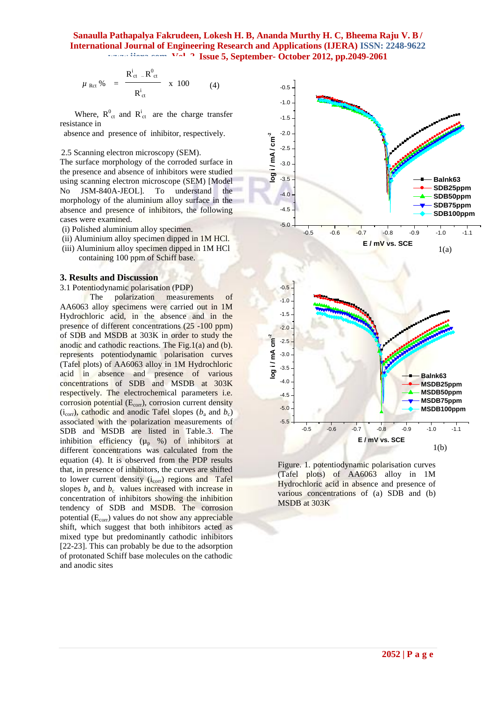$$
\mu_{\text{Ret}}\% = \frac{R_{\text{ct}}^i - R_{\text{ct}}^0}{R_{\text{ct}}^i} \times 100 \qquad (4)
$$

Where,  $R_{\text{ct}}^0$  and  $R_{\text{ct}}^i$  are the charge transfer resistance in

absence and presence of inhibitor, respectively.

### 2.5 Scanning electron microscopy (SEM).

The surface morphology of the corroded surface in the presence and absence of inhibitors were studied using scanning electron microscope (SEM) [Model No JSM-840A-JEOL]. To understand the morphology of the aluminium alloy surface in the absence and presence of inhibitors, the following cases were examined.

- (i) Polished aluminium alloy specimen.
- (ii) Aluminium alloy specimen dipped in 1M HCl. (iii) Aluminium alloy specimen dipped in 1M HCl
- containing 100 ppm of Schiff base.

### **3. Results and Discussion**

### 3.1 Potentiodynamic polarisation (PDP)

The polarization measurements of AA6063 alloy specimens were carried out in 1M Hydrochloric acid, in the absence and in the presence of different concentrations (25 -100 ppm) of SDB and MSDB at 303K in order to study the anodic and cathodic reactions. The Fig.1(a) and (b). represents potentiodynamic polarisation curves (Tafel plots) of AA6063 alloy in 1M Hydrochloric acid in absence and presence of various concentrations of SDB and MSDB at 303K respectively. The electrochemical parameters i.e. corrosion potential  $(E_{corr})$ , corrosion current density  $(i_{\text{corr}})$ , cathodic and anodic Tafel slopes  $(b_a$  and  $b_c)$ associated with the polarization measurements of SDB and MSDB are listed in Table.3. The inhibition efficiency  $(\mu_p \, %)$  of inhibitors at different concentrations was calculated from the equation (4). It is observed from the PDP results that, in presence of inhibitors, the curves are shifted to lower current density  $(i_{corr})$  regions and Tafel slopes  $b_a$  and  $b_c$  values increased with increase in concentration of inhibitors showing the inhibition tendency of SDB and MSDB. The corrosion potential  $(E_{\text{corr}})$  values do not show any appreciable shift, which suggest that both inhibitors acted as mixed type but predominantly cathodic inhibitors [22-23]. This can probably be due to the adsorption of protonated Schiff base molecules on the cathodic and anodic sites





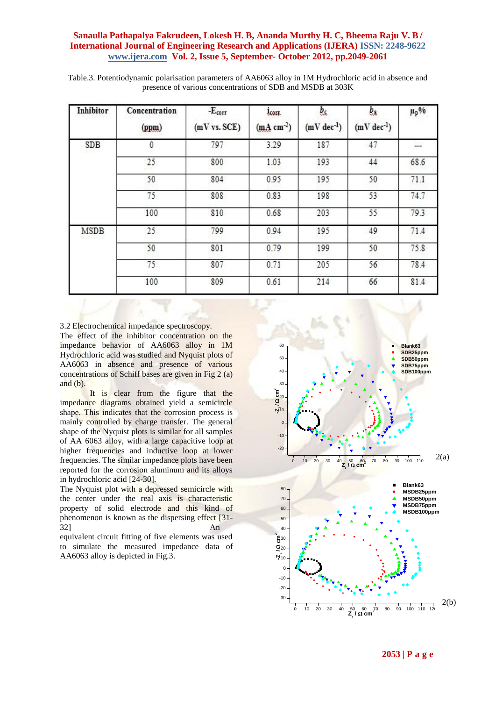| Table.3. Potentiodynamic polarisation parameters of AA6063 alloy in 1M Hydrochloric acid in absence and |  |
|---------------------------------------------------------------------------------------------------------|--|
| presence of various concentrations of SDB and MSDB at 303K                                              |  |

| Inhibitor  | Concentration<br>(ppm) | $-Ecorr$<br>(mV vs. SCE) | İçarı.<br>$(mA cm-2)$ | b <sub>k</sub><br>$(mV dec-1)$ | $b_{\lambda}$<br>$(mV dec-1)$ | $\mu_p$ % |
|------------|------------------------|--------------------------|-----------------------|--------------------------------|-------------------------------|-----------|
| <b>SDB</b> | 0                      | 797                      | 3.29                  | 187                            | 47                            | ---       |
|            | 25                     | 800                      | 1.03                  | 193                            | 44                            | 68.6      |
|            | 50                     | 804                      | 0.95                  | 195                            | 50                            | 71.1      |
|            | 75                     | 808                      | 0.83                  | 198                            | 53                            | 74.7      |
|            | 100                    | 810                      | 0.68                  | 203                            | 55                            | 793       |
| MSDB       | 25                     | 799                      | 0.94                  | 195                            | 49                            | 71.4      |
|            | 50                     | 801                      | 0.79                  | 199                            | 50                            | 75.8      |
|            | 75                     | 807                      | 0.71                  | 205                            | 56                            | 78.4      |
|            | 100                    | 809                      | 0.61                  | 214                            | 66                            | 81.4      |

3.2 Electrochemical impedance spectroscopy.

The effect of the inhibitor concentration on the impedance behavior of AA6063 alloy in 1M Hydrochloric acid was studied and Nyquist plots of AA6063 in absence and presence of various concentrations of Schiff bases are given in Fig 2 (a) and  $(b)$ .

It is clear from the figure that the impedance diagrams obtained yield a semicircle shape. This indicates that the corrosion process is mainly controlled by charge transfer. The general shape of the Nyquist plots is similar for all samples of AA 6063 alloy, with a large capacitive loop at higher frequencies and inductive loop at lower frequencies. The similar impedance plots have been reported for the corrosion aluminum and its alloys in hydrochloric acid [24-30].

The Nyquist plot with a depressed semicircle with the center under the real axis is characteristic property of solid electrode and this kind of phenomenon is known as the dispersing effect [31-  $32$ ] An

equivalent circuit fitting of five elements was used to simulate the measured impedance data of AA6063 alloy is depicted in Fig.3.

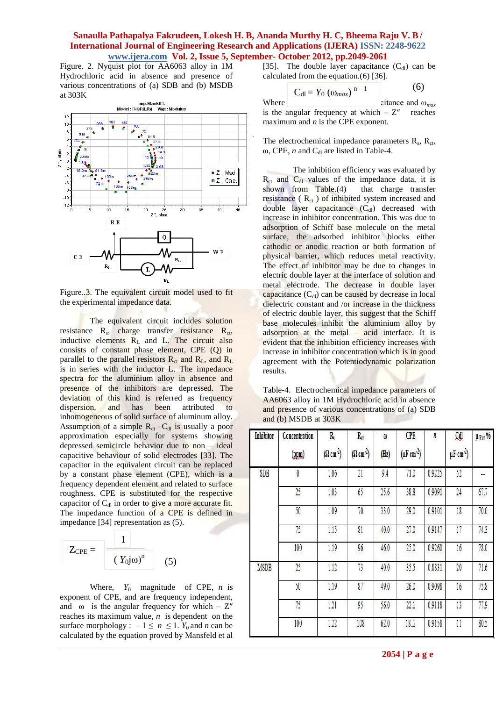Figure. 2. Nyquist plot for AA6063 alloy in 1M Hydrochloric acid in absence and presence of various concentrations of (a) SDB and (b) MSDB at 303K



Figure..3. The equivalent circuit model used to fit the experimental impedance data.

The equivalent circuit includes solution resistance R<sub>s</sub>, charge transfer resistance R<sub>ct</sub>, inductive elements  $R_L$  and L. The circuit also consists of constant phase element, CPE (Q) in parallel to the parallel resistors  $R_{ct}$  and  $R_L$ , and  $R_L$ is in series with the inductor L. The impedance spectra for the aluminium alloy in absence and presence of the inhibitors are depressed. The deviation of this kind is referred as frequency dispersion, and has been attributed to inhomogeneous of solid surface of aluminum alloy. Assumption of a simple  $R_{ct} - C_{d}$  is usually a poor approximation especially for systems showing depressed semicircle behavior due to non – ideal capacitive behaviour of solid electrodes [33]. The capacitor in the equivalent circuit can be replaced by a constant phase element (CPE), which is a frequency dependent element and related to surface roughness. CPE is substituted for the respective capacitor of  $C_{dl}$  in order to give a more accurate fit. The impedance function of a CPE is defined in impedance [34] representation as (5).



Where,  $Y_0$  magnitude of CPE, *n* is exponent of CPE, and are frequency independent, and  $\omega$  is the angular frequency for which –  $Z''$ reaches its maximum value, *n* is dependent on the surface morphology :  $-1 \leq n \leq 1$ .  $Y_0$  and *n* can be calculated by the equation proved by Mansfeld et al

[35]. The double layer capacitance  $(C_{\rm dl})$  can be calculated from the equation.(6) [36].

$$
C_{dl} = Y_0 \left(\omega_{max}\right)^{n-1}
$$
 (6)

Where  $\blacksquare$  citance and  $\omega_{max}$ is the angular frequency at which  $-Z''$  reaches maximum and *n* is the CPE exponent.

The electrochemical impedance parameters  $R_s$ ,  $R_{ct}$ , ω, CPE, *n* and  $C<sub>dl</sub>$  are listed in Table-4.

The inhibition efficiency was evaluated by  $R_{\rm ct}$  and  $C_{\rm d}$  values of the impedance data, it is shown from Table.<sup>(4)</sup> that charge transfer resistance ( $R<sub>ct</sub>$ ) of inhibited system increased and double layer capacitance  $(C_{d})$  decreased with increase in inhibitor concentration. This was due to adsorption of Schiff base molecule on the metal surface, the adsorbed inhibitor blocks either cathodic or anodic reaction or both formation of physical barrier, which reduces metal reactivity. The effect of inhibitor may be due to changes in electric double layer at the interface of solution and metal electrode. The decrease in double layer capacitance  $(C_{d_l})$  can be caused by decrease in local dielectric constant and /or increase in the thickness of electric double layer, this suggest that the Schiff base molecules inhibit the aluminium alloy by adsorption at the metal  $-$  acid interface. It is evident that the inhibition efficiency increases with increase in inhibitor concentration which is in good agreement with the Potentiodynamic polarization results.

Table-4. Electrochemical impedance parameters of AA6063 alloy in 1M Hydrochloric acid in absence and presence of various concentrations of (a) SDB and (b) MSDB at 303K

| Inhibitor | Concentration<br>(ppm) | R,<br>$(\Omega \text{ cm}^{-2})$ | $R_{cl}$<br>$(\Omega \text{ cm}^2)$ | Ø<br>(Hz) | <b>CPE</b><br>$(\mu F cm^{-2})$ | n      | Çd<br>$\mu$ F cm <sup>-2</sup> ) | µ Rct % |
|-----------|------------------------|----------------------------------|-------------------------------------|-----------|---------------------------------|--------|----------------------------------|---------|
| SDB       | 0                      | 1.06                             | 21                                  | 9.4       | 71.0                            | 0.9225 | 52                               |         |
|           | 25                     | 1.03                             | 65                                  | 25.6      | 38.8                            | 0.9091 | 24                               | 67.7    |
|           | 50                     | 1.09                             | 70                                  | 33.0      | 29.0                            | 0.9101 | 18                               | 70.0    |
|           | 75                     | 1.15                             | 81                                  | 40.0      | 27.0                            | 0.9147 | 17                               | 74.3    |
|           | 100                    | 1.19                             | 96                                  | 46.0      | 25.0                            | 0.9260 | 16                               | 78.0    |
| MSDB      | 25                     | 1.12                             | 73                                  | 40.0      | 35.5                            | 0.8831 | 20                               | 71.6    |
|           | 50                     | 1.19                             | 87                                  | 49.0      | 26.0                            | 0.9098 | 16                               | 75.8    |
|           | 75                     | 1.21                             | 95                                  | 56.0      | 22.1                            | 0.9118 | 13                               | 77.9    |
|           | 100                    | 1.22                             | 108                                 | 62.0      | 18.2                            | 0.9158 | 11                               | 80.5    |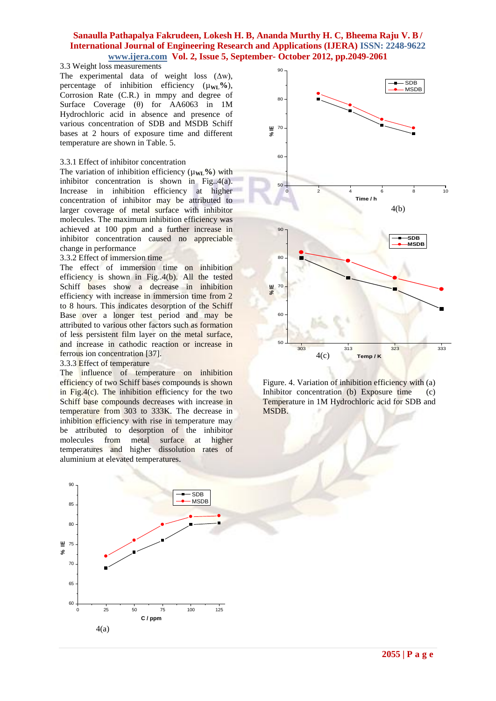#### 3.3 Weight loss measurements

The experimental data of weight loss (∆w), percentage of inhibition efficiency  $(\mu_{WL}\%)$ , Corrosion Rate (C.R.) in mmpy and degree of Surface Coverage (θ) for AA6063 in 1M Hydrochloric acid in absence and presence of various concentration of SDB and MSDB Schiff bases at 2 hours of exposure time and different temperature are shown in Table. 5.

### 3.3.1 Effect of inhibitor concentration

The variation of inhibition efficiency ( $\mu_{WL}$ %) with inhibitor concentration is shown in Fig..4(a). Increase in inhibition efficiency at higher concentration of inhibitor may be attributed to larger coverage of metal surface with inhibitor molecules. The maximum inhibition efficiency was achieved at 100 ppm and a further increase in inhibitor concentration caused no appreciable change in performance

## 3.3.2 Effect of immersion time

The effect of immersion time on inhibition efficiency is shown in Fig..4(b). All the tested Schiff bases show a decrease in inhibition efficiency with increase in immersion time from 2 to 8 hours. This indicates desorption of the Schiff Base over a longer test period and may be attributed to various other factors such as formation of less persistent film layer on the metal surface, and increase in cathodic reaction or increase in ferrous ion concentration [37].

### 3.3.3 Effect of temperature

The influence of temperature on inhibition efficiency of two Schiff bases compounds is shown in Fig.4(c). The inhibition efficiency for the two Schiff base compounds decreases with increase in temperature from 303 to 333K. The decrease in inhibition efficiency with rise in temperature may be attributed to desorption of the inhibitor molecules from metal surface at higher temperatures and higher dissolution rates of aluminium at elevated temperatures.



Figure. 4. Variation of inhibition efficiency with (a) Inhibitor concentration (b) Exposure time (c) Temperature in 1M Hydrochloric acid for SDB and MSDB.

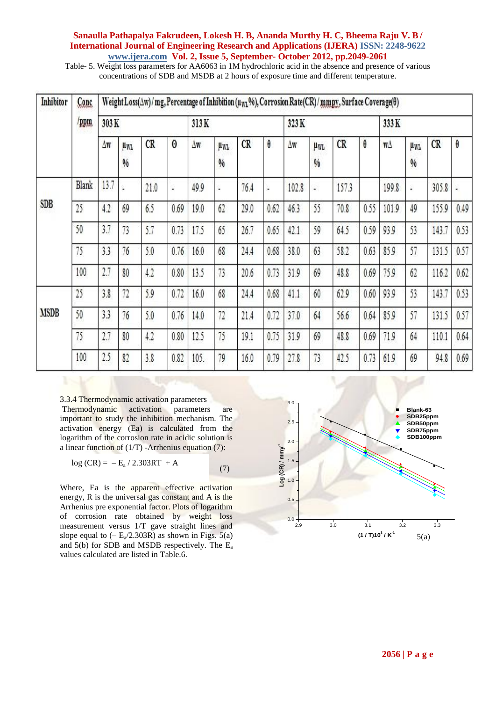Table- 5. Weight loss parameters for AA6063 in 1M hydrochloric acid in the absence and presence of various concentrations of SDB and MSDB at 2 hours of exposure time and different temperature.

| Inhibitor | Conc         | Weight Loss( $\Delta w$ )/mg, Percentage of Inhibition ( $\mu_{WL}$ %), Corrosion Rate(CR)/mmpy, Surface Coverage( $\theta$ ) |                             |      |          |                     |                             |      |      |            |                                  |       |          |       |                             |       |                |
|-----------|--------------|-------------------------------------------------------------------------------------------------------------------------------|-----------------------------|------|----------|---------------------|-----------------------------|------|------|------------|----------------------------------|-------|----------|-------|-----------------------------|-------|----------------|
|           | ppm          | 303K                                                                                                                          |                             |      |          | 313K                |                             |      | 323K |            |                                  |       | 333K     |       |                             |       |                |
|           |              | Δw                                                                                                                            | <b>µWT</b><br>$\frac{0}{6}$ | CR   | $\Theta$ | $\Delta \mathbf{W}$ | <b>µWT</b><br>$\frac{0}{0}$ | CR   | θ    | $\Delta W$ | μ <sub>WL</sub><br>$\frac{0}{0}$ | CR    | $\theta$ | WΔ    | <b>µWT</b><br>$\frac{0}{0}$ | CR    | $\pmb{\theta}$ |
|           | <b>Blank</b> | 13.7                                                                                                                          | g                           | 21.0 | C)       | 49.9                | i.                          | 76.4 | L    | 102.8      | à,                               | 157.3 |          | 199.8 | ä,                          | 305.8 | ¥,             |
| SDB       | 25           | 4.2                                                                                                                           | 69                          | 6.5  | 0.69     | 19.0                | 62                          | 29.0 | 0.62 | 46.3       | 55                               | 70.8  | 0.55     | 101.9 | 49                          | 155.9 | 0.49           |
|           | 50           | 3.7                                                                                                                           | 73                          | 5.7  | 0.73     | 17.5                | 65                          | 26.7 | 0.65 | 42.1       | 59                               | 64.5  | 0.59     | 93.9  | 53                          | 143.7 | 0.53           |
|           | 75           | 3.3                                                                                                                           | 76                          | 5.0  | 0.76     | 16.0                | 68                          | 24.4 | 0.68 | 38.0       | 63                               | 58.2  | 0.63     | 85.9  | 57                          | 131.5 | 0.57           |
|           | 100          | 2.7                                                                                                                           | 80                          | 4.2  | 0.80     | 13.5                | 73                          | 20.6 | 0.73 | 31.9       | 69                               | 48.8  | 0.69     | 75.9  | 62                          | 116.2 | 0.62           |
|           | 25           | 3.8                                                                                                                           | 72                          | 5.9  | 0.72     | 16.0                | 68                          | 24.4 | 0.68 | 41.1       | 60                               | 62.9  | 0.60     | 93.9  | 53                          | 143.7 | 0.53           |
| MSDB      | 50           | 3.3                                                                                                                           | 76                          | 5.0  | 0.76     | 14.0                | 72                          | 21.4 | 0.72 | 37.0       | 64                               | 56.6  | 0.64     | 85.9  | 57                          | 131.5 | 0.57           |
|           | 75           | 2.7                                                                                                                           | 80                          | 4.2  | 0.80     | 12.5                | 75                          | 19.1 | 0.75 | 31.9       | 69                               | 48.8  | 0.69     | 71.9  | 64                          | 110.1 | 0.64           |
|           | 100          | 2.5                                                                                                                           | 82                          | 3.8  | 0.82     | 105.                | 79                          | 16.0 | 0.79 | 27.8       | 73                               | 42.5  | 0.73     | 61.9  | 69                          | 94.8  | 0.69           |

3.3.4 Thermodynamic activation parameters

Thermodynamic activation parameters are important to study the inhibition mechanism. The activation energy (Ea) is calculated from the logarithm of the corrosion rate in acidic solution is a linear function of  $(1/T)$  -Arrhenius equation (7):

$$
log (CR) = -E_a / 2.303RT + A \tag{7}
$$

Where, Ea is the apparent effective activation energy, R is the universal gas constant and A is the Arrhenius pre exponential factor. Plots of logarithm of corrosion rate obtained by weight loss measurement versus 1/T gave straight lines and slope equal to  $(-E_a/2.303R)$  as shown in Figs. 5(a) and  $5(b)$  for SDB and MSDB respectively. The  $E_a$ values calculated are listed in Table.6.

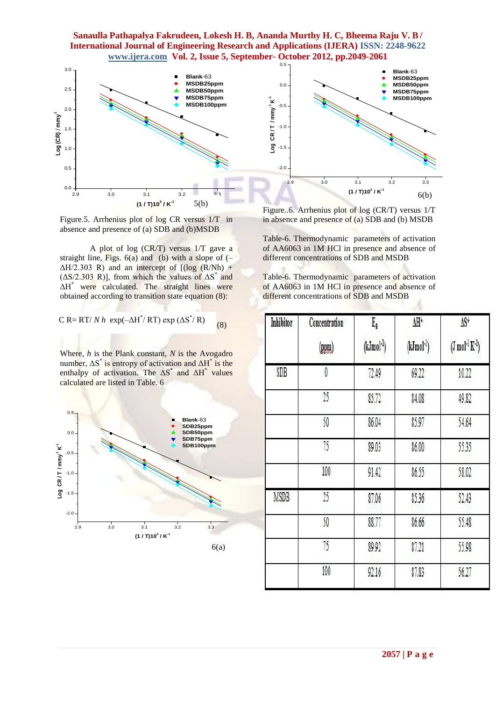

Figure.5. Arrhenius plot of log CR versus 1/T in absence and presence of (a) SDB and (b)MSDB

A plot of log (CR/T) versus 1/T gave a straight line, Figs.  $6(a)$  and (b) with a slope of  $( \Delta H/2.303$  R) and an intercept of  $[(\log (R/Nh) +$  $(\Delta S/2.303 \text{ R})$ ], from which the values of  $\Delta S^*$  and ΔH\* were calculated. The straight lines were obtained according to transition state equation (8):

$$
C R = RT/N h \exp(-\Delta H^* / RT) \exp(\Delta S^* / R)
$$
 (8)

Where, *h* is the Plank constant, *N* is the Avogadro number,  $\Delta S^*$  is entropy of activation and  $\Delta H^*$  is the enthalpy of activation. The  $\Delta S^*$  and  $\Delta H^*$  values calculated are listed in Table. 6



Figure..6. Arrhenius plot of log (CR/T) versus 1/T in absence and presence of (a) SDB and (b) MSDB

Table-6. Thermodynamic parameters of activation of AA6063 in 1M HCl in presence and absence of different concentrations of SDB and MSDB

Table-6. Thermodynamic parameters of activation of AA6063 in 1M HCl in presence and absence of different concentrations of SDB and MSDB

| Inhibitor | Concentration<br>(ppm) | $E_a$<br>$(kJmol^{-1})$ | ΔH*<br>$(kJmol^{-1})$ | 1S*<br>$(J \text{ mol}^{-1} \text{K}^{-1})$ |
|-----------|------------------------|-------------------------|-----------------------|---------------------------------------------|
| SDB       | 0                      | 72.49                   | 69.22                 | 10.22                                       |
|           | 25                     | 85.72                   | 84.08                 | 49.82                                       |
|           | 50                     | 86.04                   | 85.97                 | 54.64                                       |
|           | 75                     | 89.03                   | 86.00                 | 55.35                                       |
|           | 100                    | 91.42                   | 86.55                 | 58.02                                       |
| MSDB      | 25                     | 87.06                   | 85.36                 | 52.43                                       |
|           | 50                     | 88.77                   | 86.66                 | 55.48                                       |
|           | 75                     | 89.92                   | 87.21                 | 55.98                                       |
|           | 100                    | 92.16                   | 87.83                 | 56.27                                       |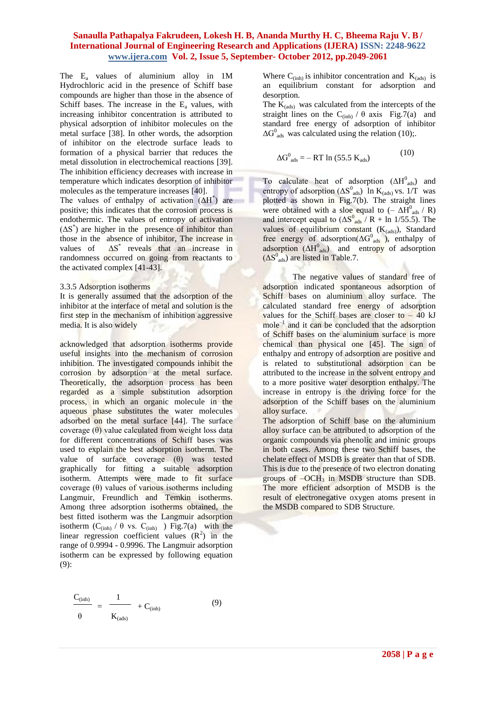The  $E_a$  values of aluminium alloy in 1M Hydrochloric acid in the presence of Schiff base compounds are higher than those in the absence of Schiff bases. The increase in the  $E<sub>a</sub>$  values, with increasing inhibitor concentration is attributed to physical adsorption of inhibitor molecules on the metal surface [38]. In other words, the adsorption of inhibitor on the electrode surface leads to formation of a physical barrier that reduces the metal dissolution in electrochemical reactions [39]. The inhibition efficiency decreases with increase in temperature which indicates desorption of inhibitor molecules as the temperature increases [40].

The values of enthalpy of activation  $(\Delta H^*)$  are positive; this indicates that the corrosion process is endothermic. The values of entropy of activation  $( \Delta S^*)$  are higher in the presence of inhibitor than those in the absence of inhibitor, The increase in values of  $\Delta S^*$  reveals that an increase in randomness occurred on going from reactants to the activated complex [41-43].

### 3.3.5 Adsorption isotherms

It is generally assumed that the adsorption of the inhibitor at the interface of metal and solution is the first step in the mechanism of inhibition aggressive media. It is also widely

acknowledged that adsorption isotherms provide useful insights into the mechanism of corrosion inhibition. The investigated compounds inhibit the corrosion by adsorption at the metal surface. Theoretically, the adsorption process has been regarded as a simple substitution adsorption process, in which an organic molecule in the aqueous phase substitutes the water molecules adsorbed on the metal surface [44]. The surface coverage  $(θ)$  value calculated from weight loss data for different concentrations of Schiff bases was used to explain the best adsorption isotherm. The value of surface coverage (θ) was tested graphically for fitting a suitable adsorption isotherm. Attempts were made to fit surface coverage (θ) values of various isotherms including Langmuir, Freundlich and Temkin isotherms. Among three adsorption isotherms obtained, the best fitted isotherm was the Langmuir adsorption isotherm  $(C_{(inh)}/\theta$  vs.  $C_{(inh)}$  ) Fig.7(a) with the linear regression coefficient values  $(R^2)$  in the range of 0.9994 - 0.9996. The Langmuir adsorption isotherm can be expressed by following equation (9):

$$
\frac{C_{(inh)}}{\theta} = \frac{1}{K_{(ads)}} + C_{(inh)}
$$
\n(9)

Where  $C_{(inh)}$  is inhibitor concentration and  $K_{(ads)}$  is an equilibrium constant for adsorption and desorption.

The  $K_{(ads)}$  was calculated from the intercepts of the straight lines on the  $C_{(inh)}$  /  $\theta$  axis Fig.7(a) and standard free energy of adsorption of inhibitor  $\Delta G<sup>0</sup>_{ads}$  was calculated using the relation (10);.

$$
\Delta G_{ads}^0 = -RT \ln (55.5 \text{ K}_{ads}) \tag{10}
$$

To calculate heat of adsorption  $(\Delta H^0_{ads})$  and entropy of adsorption  $(\Delta S^0_{ads})$  In K<sub>(ads)</sub> vs. 1/T was plotted as shown in Fig.7(b). The straight lines were obtained with a sloe equal to  $(-\Delta \tilde{H}^0_{ads} / R)$ and intercept equal to  $(\Delta S^0_{ads} / R + \ln 1/55.5)$ . The values of equilibrium constant  $(K_{(ads)})$ , Standard free energy of adsorption( $\Delta G^0_{ads}$ ), enthalpy of adsorption  $(\Delta H_{ads}^0)$  and entropy of adsorption  $( \Delta S^0_{ads} )$  are listed in Table.7.

The negative values of standard free of adsorption indicated spontaneous adsorption of Schiff bases on aluminium alloy surface. The calculated standard free energy of adsorption values for the Schiff bases are closer to  $-40$  kJ  $mole^{-1}$  and it can be concluded that the adsorption of Schiff bases on the aluminium surface is more chemical than physical one [45]. The sign of enthalpy and entropy of adsorption are positive and is related to substitutional adsorption can be attributed to the increase in the solvent entropy and to a more positive water desorption enthalpy. The increase in entropy is the driving force for the adsorption of the Schiff bases on the aluminium alloy surface.

The adsorption of Schiff base on the aluminium alloy surface can be attributed to adsorption of the organic compounds via phenolic and iminic groups in both cases. Among these two Schiff bases, the chelate effect of MSDB is greater than that of SDB. This is due to the presence of two electron donating groups of  $-OCH_3$  in MSDB structure than SDB. The more efficient adsorption of MSDB is the result of electronegative oxygen atoms present in the MSDB compared to SDB Structure.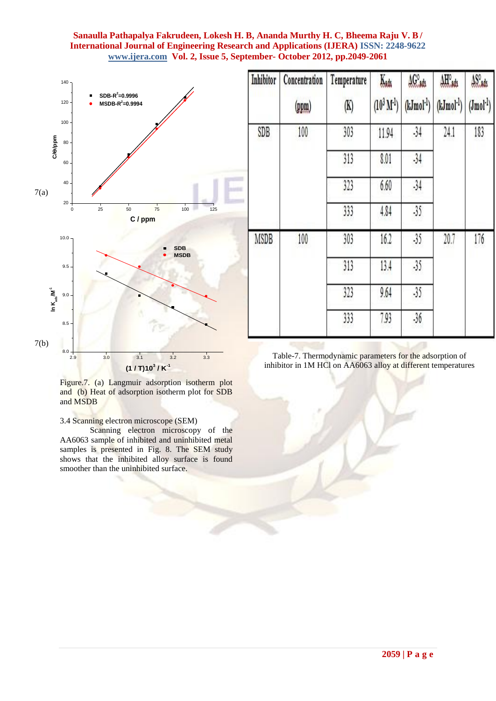

Figure.7. (a) Langmuir adsorption isotherm plot and (b) Heat of adsorption isotherm plot for SDB and MSDB

3.4 Scanning electron microscope (SEM)

Scanning electron microscopy of the AA6063 sample of inhibited and uninhibited metal samples is presented in Fig. 8. The SEM study shows that the inhibited alloy surface is found smoother than the uninhibited surface.

| Inhibitor | Concentration<br>(ppm) | Temperature<br>$(\mathrm{K})$ | $K_{\text{add}}$<br>$(10^3 M^{-1})$ | $\mathrm{AG}^\circ_\mathrm{sds}$<br>$(kJmol^{-1})$ | AHOads<br>$(kJmol^{-1})$ | $\frac{\text{AS}_\text{ads}}{\text{As}_\text{ads}}$<br>$(Jmol^{-1})$ |
|-----------|------------------------|-------------------------------|-------------------------------------|----------------------------------------------------|--------------------------|----------------------------------------------------------------------|
| SDB       | 100                    | 303                           | 11.94                               | $-34$                                              | 24.1                     | 183                                                                  |
|           |                        | 313                           | 8.01                                | $-34$                                              |                          |                                                                      |
|           |                        | 323                           | 6.60                                | $-34$                                              |                          |                                                                      |
|           |                        | 333                           | 4.84                                | 35                                                 |                          |                                                                      |
| MSDB      | 100                    | 303                           | 16.2                                | $-35$                                              | 20.7                     | 176                                                                  |
|           |                        | 313                           | 13.4                                | $-35$                                              |                          |                                                                      |
|           |                        | 323                           | 9.64                                | $-35$                                              |                          |                                                                      |
|           |                        | 333                           | 7.93                                | $-36$                                              |                          |                                                                      |

Table-7. Thermodynamic parameters for the adsorption of inhibitor in 1M HCl on AA6063 alloy at different temperatures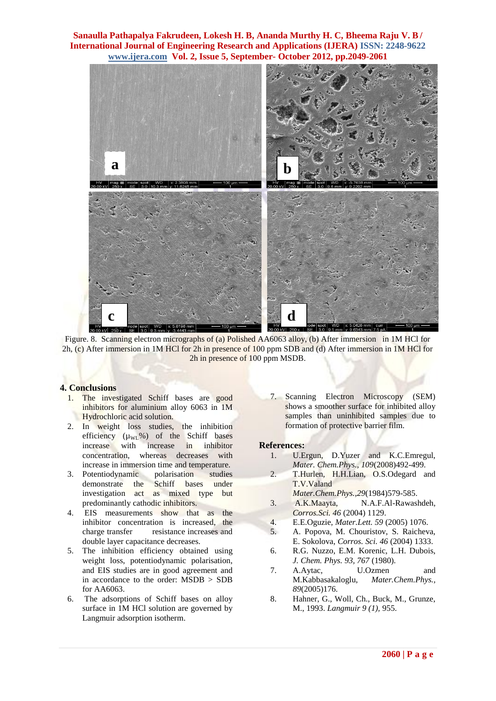

Figure. 8. Scanning electron micrographs of (a) Polished AA6063 alloy, (b) After immersion in 1M HCl for 2h, (c) After immersion in 1M HCl for 2h in presence of 100 ppm SDB and (d) After immersion in 1M HCl for 2h in presence of 100 ppm MSDB.

# **4. Conclusions**

- 1. The investigated Schiff bases are good inhibitors for aluminium alloy 6063 in 1M Hydrochloric acid solution.
- 2. In weight loss studies, the inhibition efficiency  $(\mu_{WL}\%)$  of the Schiff bases increase with increase in inhibitor concentration, whereas decreases with increase in immersion time and temperature.
- 3. Potentiodynamic polarisation studies demonstrate the Schiff bases under investigation act as mixed type but predominantly cathodic inhibitors.
- 4. EIS measurements show that as the inhibitor concentration is increased, the charge transfer resistance increases and double layer capacitance decreases.
- 5. The inhibition efficiency obtained using weight loss, potentiodynamic polarisation, and EIS studies are in good agreement and in accordance to the order: MSDB > SDB for AA6063.
- 6. The adsorptions of Schiff bases on alloy surface in 1M HCl solution are governed by Langmuir adsorption isotherm.

7. Scanning Electron Microscopy (SEM) shows a smoother surface for inhibited alloy samples than uninhibited samples due to formation of protective barrier film.

### **References:**

- 1. U.Ergun, D.Yuzer and K.C.Emregul, *Mater. Chem.Phys., 109*(2008)492-499.
- 2. T.Hurlen, H.H.Lian, O.S.Odegard and T.V.Valand
- *Mater.Chem.Phys.,29*(1984)579-585. 3. A.K.Maayta, N.A.F.Al-Rawashdeh,
- *Corros.Sci. 46* (2004) 1129.
- 4. E.E.Oguzie, *Mater.Lett. 59* (2005) 1076.
- 5. A. Popova, M. Chouristov, S. Raicheva, E. Sokolova, *Corros. Sci. 46* (2004) 1333.
- 6. R.G. Nuzzo, E.M. Korenic, L.H. Dubois, *J. Chem. Phys. 93, 767* (1980).
- 7. A.Aytac, U.Ozmen and M.Kabbasakaloglu, *Mater.Chem.Phys., 89*(2005)176.
- 8. Hahner, G., Woll, Ch., Buck, M., Grunze, M., 1993. *Langmuir 9 (1),* 955.